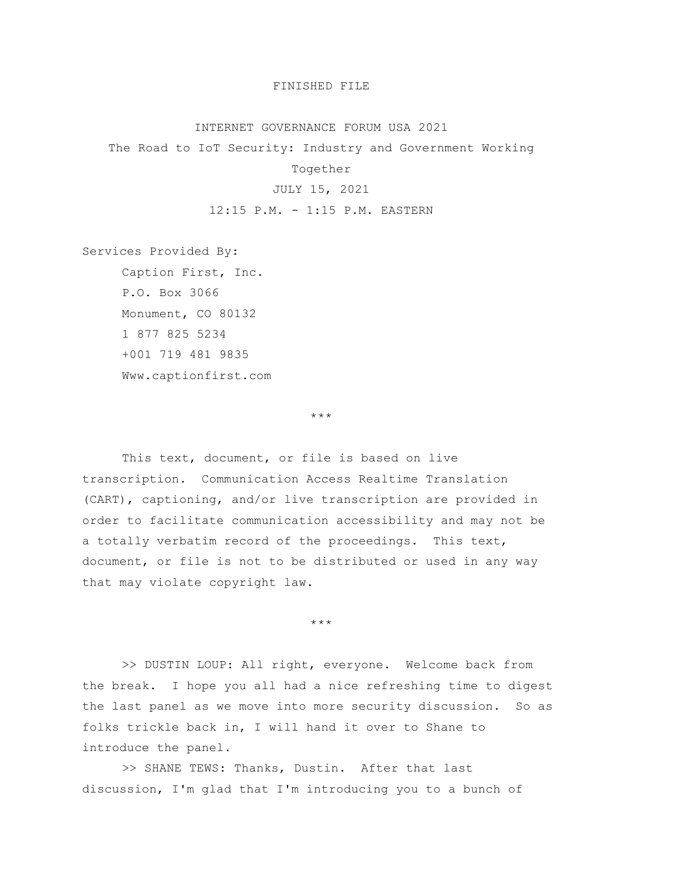## FINISHED FILE

## INTERNET GOVERNANCE FORUM USA 2021

The Road to IoT Security: Industry and Government Working

Together

## JULY 15, 2021

12:15 P.M. - 1:15 P.M. EASTERN

Services Provided By:

Caption First, Inc. P.O. Box 3066 Monument, CO 80132 1 877 825 5234 +001 719 481 9835 Www.captionfirst.com

\*\*\*

This text, document, or file is based on live transcription. Communication Access Realtime Translation (CART), captioning, and/or live transcription are provided in order to facilitate communication accessibility and may not be a totally verbatim record of the proceedings. This text, document, or file is not to be distributed or used in any way that may violate copyright law.

\*\*\*

>> DUSTIN LOUP: All right, everyone. Welcome back from the break. I hope you all had a nice refreshing time to digest the last panel as we move into more security discussion. So as folks trickle back in, I will hand it over to Shane to introduce the panel.

>> SHANE TEWS: Thanks, Dustin. After that last discussion, I'm glad that I'm introducing you to a bunch of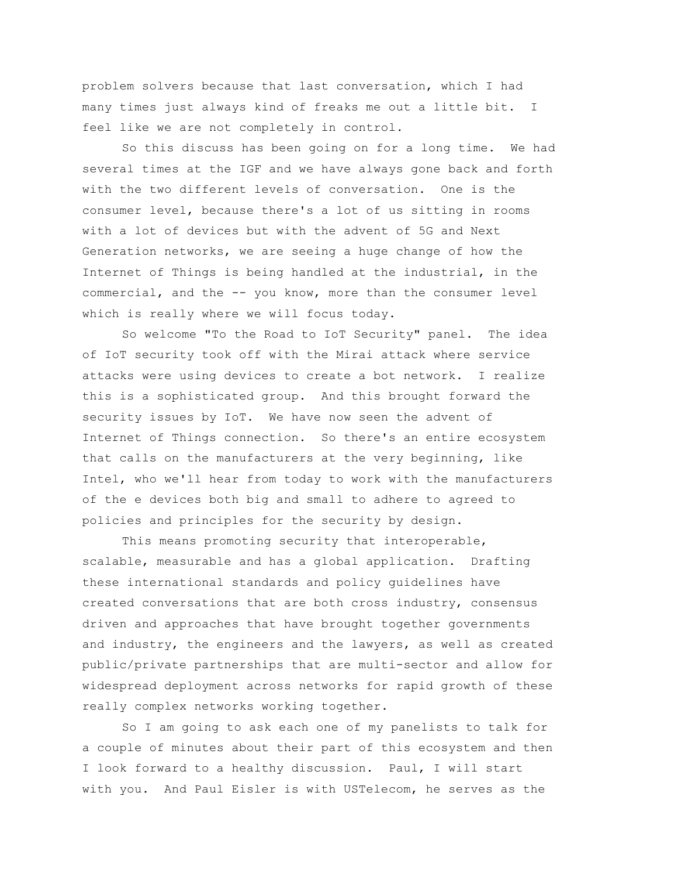problem solvers because that last conversation, which I had many times just always kind of freaks me out a little bit. I feel like we are not completely in control.

So this discuss has been going on for a long time. We had several times at the IGF and we have always gone back and forth with the two different levels of conversation. One is the consumer level, because there's a lot of us sitting in rooms with a lot of devices but with the advent of 5G and Next Generation networks, we are seeing a huge change of how the Internet of Things is being handled at the industrial, in the commercial, and the -- you know, more than the consumer level which is really where we will focus today.

So welcome "To the Road to IoT Security" panel. The idea of IoT security took off with the Mirai attack where service attacks were using devices to create a bot network. I realize this is a sophisticated group. And this brought forward the security issues by IoT. We have now seen the advent of Internet of Things connection. So there's an entire ecosystem that calls on the manufacturers at the very beginning, like Intel, who we'll hear from today to work with the manufacturers of the e devices both big and small to adhere to agreed to policies and principles for the security by design.

This means promoting security that interoperable, scalable, measurable and has a global application. Drafting these international standards and policy guidelines have created conversations that are both cross industry, consensus driven and approaches that have brought together governments and industry, the engineers and the lawyers, as well as created public/private partnerships that are multi-sector and allow for widespread deployment across networks for rapid growth of these really complex networks working together.

So I am going to ask each one of my panelists to talk for a couple of minutes about their part of this ecosystem and then I look forward to a healthy discussion. Paul, I will start with you. And Paul Eisler is with USTelecom, he serves as the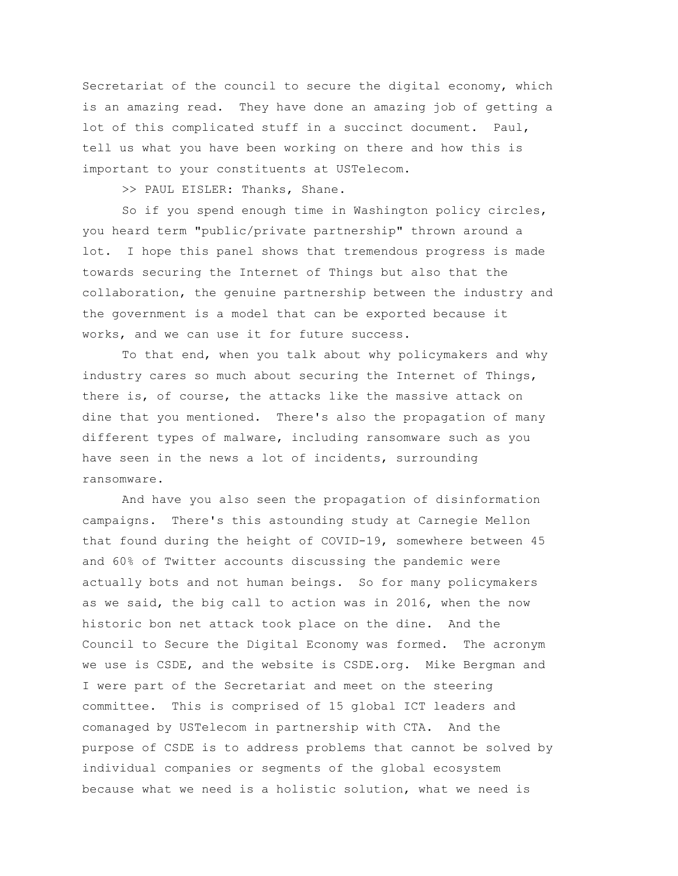Secretariat of the council to secure the digital economy, which is an amazing read. They have done an amazing job of getting a lot of this complicated stuff in a succinct document. Paul, tell us what you have been working on there and how this is important to your constituents at USTelecom.

>> PAUL EISLER: Thanks, Shane.

So if you spend enough time in Washington policy circles, you heard term "public/private partnership" thrown around a lot. I hope this panel shows that tremendous progress is made towards securing the Internet of Things but also that the collaboration, the genuine partnership between the industry and the government is a model that can be exported because it works, and we can use it for future success.

To that end, when you talk about why policymakers and why industry cares so much about securing the Internet of Things, there is, of course, the attacks like the massive attack on dine that you mentioned. There's also the propagation of many different types of malware, including ransomware such as you have seen in the news a lot of incidents, surrounding ransomware.

And have you also seen the propagation of disinformation campaigns. There's this astounding study at Carnegie Mellon that found during the height of COVID-19, somewhere between 45 and 60% of Twitter accounts discussing the pandemic were actually bots and not human beings. So for many policymakers as we said, the big call to action was in 2016, when the now historic bon net attack took place on the dine. And the Council to Secure the Digital Economy was formed. The acronym we use is CSDE, and the website is CSDE.org. Mike Bergman and I were part of the Secretariat and meet on the steering committee. This is comprised of 15 global ICT leaders and comanaged by USTelecom in partnership with CTA. And the purpose of CSDE is to address problems that cannot be solved by individual companies or segments of the global ecosystem because what we need is a holistic solution, what we need is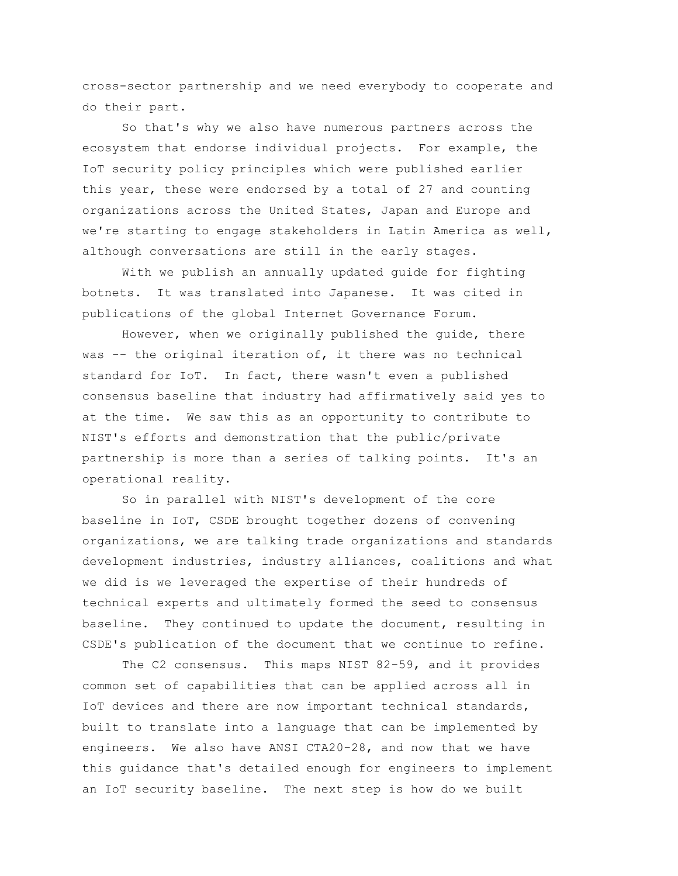cross-sector partnership and we need everybody to cooperate and do their part.

So that's why we also have numerous partners across the ecosystem that endorse individual projects. For example, the IoT security policy principles which were published earlier this year, these were endorsed by a total of 27 and counting organizations across the United States, Japan and Europe and we're starting to engage stakeholders in Latin America as well, although conversations are still in the early stages.

With we publish an annually updated guide for fighting botnets. It was translated into Japanese. It was cited in publications of the global Internet Governance Forum.

However, when we originally published the guide, there was -- the original iteration of, it there was no technical standard for IoT. In fact, there wasn't even a published consensus baseline that industry had affirmatively said yes to at the time. We saw this as an opportunity to contribute to NIST's efforts and demonstration that the public/private partnership is more than a series of talking points. It's an operational reality.

So in parallel with NIST's development of the core baseline in IoT, CSDE brought together dozens of convening organizations, we are talking trade organizations and standards development industries, industry alliances, coalitions and what we did is we leveraged the expertise of their hundreds of technical experts and ultimately formed the seed to consensus baseline. They continued to update the document, resulting in CSDE's publication of the document that we continue to refine.

The C2 consensus. This maps NIST 82-59, and it provides common set of capabilities that can be applied across all in IoT devices and there are now important technical standards, built to translate into a language that can be implemented by engineers. We also have ANSI CTA20-28, and now that we have this guidance that's detailed enough for engineers to implement an IoT security baseline. The next step is how do we built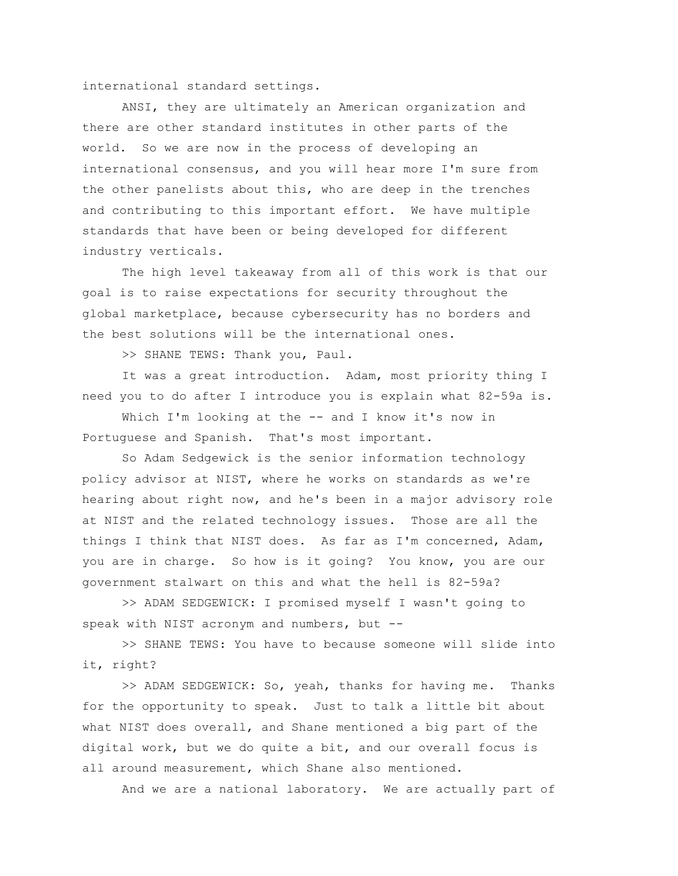international standard settings.

ANSI, they are ultimately an American organization and there are other standard institutes in other parts of the world. So we are now in the process of developing an international consensus, and you will hear more I'm sure from the other panelists about this, who are deep in the trenches and contributing to this important effort. We have multiple standards that have been or being developed for different industry verticals.

The high level takeaway from all of this work is that our goal is to raise expectations for security throughout the global marketplace, because cybersecurity has no borders and the best solutions will be the international ones.

>> SHANE TEWS: Thank you, Paul.

It was a great introduction. Adam, most priority thing I need you to do after I introduce you is explain what 82-59a is.

Which I'm looking at the -- and I know it's now in Portuguese and Spanish. That's most important.

So Adam Sedgewick is the senior information technology policy advisor at NIST, where he works on standards as we're hearing about right now, and he's been in a major advisory role at NIST and the related technology issues. Those are all the things I think that NIST does. As far as I'm concerned, Adam, you are in charge. So how is it going? You know, you are our government stalwart on this and what the hell is 82-59a?

>> ADAM SEDGEWICK: I promised myself I wasn't going to speak with NIST acronym and numbers, but --

>> SHANE TEWS: You have to because someone will slide into it, right?

>> ADAM SEDGEWICK: So, yeah, thanks for having me. Thanks for the opportunity to speak. Just to talk a little bit about what NIST does overall, and Shane mentioned a big part of the digital work, but we do quite a bit, and our overall focus is all around measurement, which Shane also mentioned.

And we are a national laboratory. We are actually part of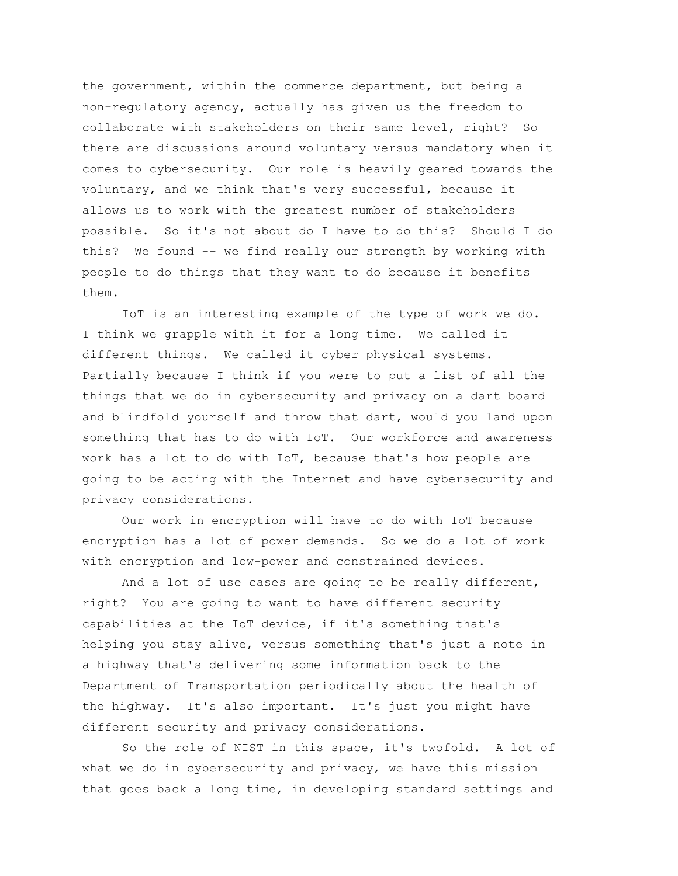the government, within the commerce department, but being a non-regulatory agency, actually has given us the freedom to collaborate with stakeholders on their same level, right? So there are discussions around voluntary versus mandatory when it comes to cybersecurity. Our role is heavily geared towards the voluntary, and we think that's very successful, because it allows us to work with the greatest number of stakeholders possible. So it's not about do I have to do this? Should I do this? We found -- we find really our strength by working with people to do things that they want to do because it benefits them.

IoT is an interesting example of the type of work we do. I think we grapple with it for a long time. We called it different things. We called it cyber physical systems. Partially because I think if you were to put a list of all the things that we do in cybersecurity and privacy on a dart board and blindfold yourself and throw that dart, would you land upon something that has to do with IoT. Our workforce and awareness work has a lot to do with IoT, because that's how people are going to be acting with the Internet and have cybersecurity and privacy considerations.

Our work in encryption will have to do with IoT because encryption has a lot of power demands. So we do a lot of work with encryption and low-power and constrained devices.

And a lot of use cases are going to be really different, right? You are going to want to have different security capabilities at the IoT device, if it's something that's helping you stay alive, versus something that's just a note in a highway that's delivering some information back to the Department of Transportation periodically about the health of the highway. It's also important. It's just you might have different security and privacy considerations.

So the role of NIST in this space, it's twofold. A lot of what we do in cybersecurity and privacy, we have this mission that goes back a long time, in developing standard settings and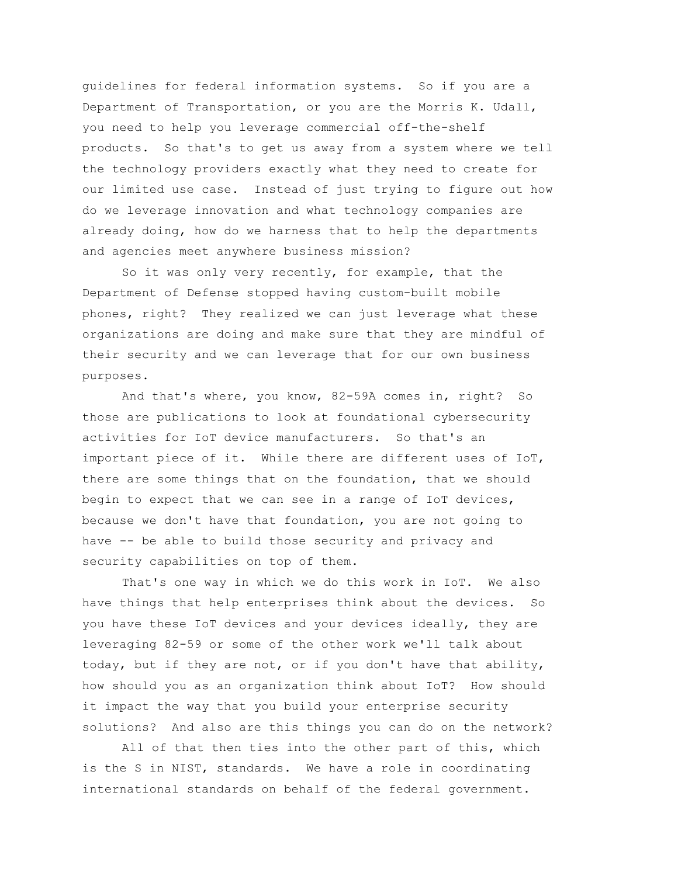guidelines for federal information systems. So if you are a Department of Transportation, or you are the Morris K. Udall, you need to help you leverage commercial off-the-shelf products. So that's to get us away from a system where we tell the technology providers exactly what they need to create for our limited use case. Instead of just trying to figure out how do we leverage innovation and what technology companies are already doing, how do we harness that to help the departments and agencies meet anywhere business mission?

So it was only very recently, for example, that the Department of Defense stopped having custom-built mobile phones, right? They realized we can just leverage what these organizations are doing and make sure that they are mindful of their security and we can leverage that for our own business purposes.

And that's where, you know, 82-59A comes in, right? So those are publications to look at foundational cybersecurity activities for IoT device manufacturers. So that's an important piece of it. While there are different uses of IoT, there are some things that on the foundation, that we should begin to expect that we can see in a range of IoT devices, because we don't have that foundation, you are not going to have -- be able to build those security and privacy and security capabilities on top of them.

That's one way in which we do this work in IoT. We also have things that help enterprises think about the devices. So you have these IoT devices and your devices ideally, they are leveraging 82-59 or some of the other work we'll talk about today, but if they are not, or if you don't have that ability, how should you as an organization think about IoT? How should it impact the way that you build your enterprise security solutions? And also are this things you can do on the network?

All of that then ties into the other part of this, which is the S in NIST, standards. We have a role in coordinating international standards on behalf of the federal government.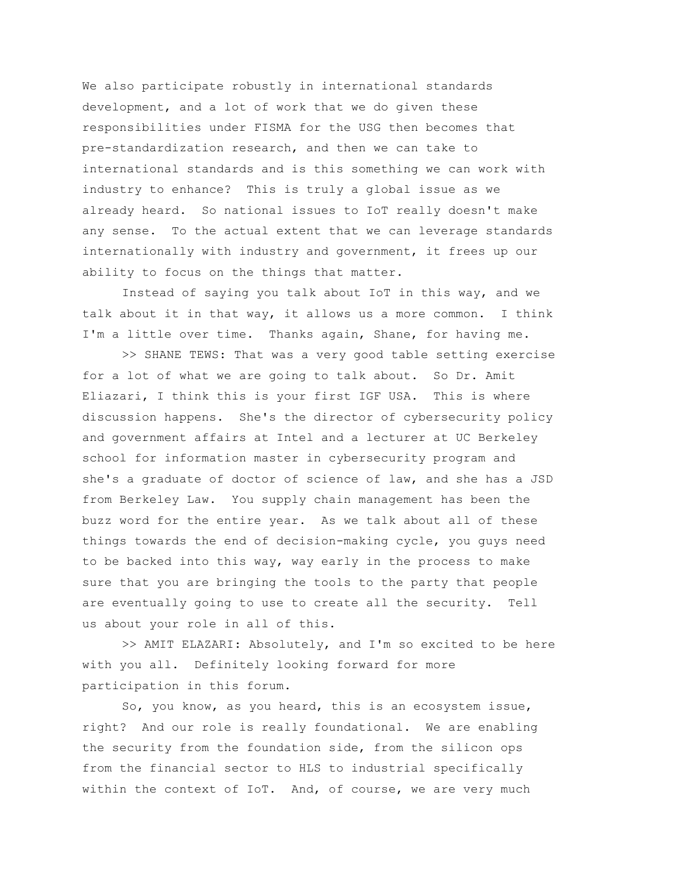We also participate robustly in international standards development, and a lot of work that we do given these responsibilities under FISMA for the USG then becomes that pre-standardization research, and then we can take to international standards and is this something we can work with industry to enhance? This is truly a global issue as we already heard. So national issues to IoT really doesn't make any sense. To the actual extent that we can leverage standards internationally with industry and government, it frees up our ability to focus on the things that matter.

Instead of saying you talk about IoT in this way, and we talk about it in that way, it allows us a more common. I think I'm a little over time. Thanks again, Shane, for having me.

>> SHANE TEWS: That was a very good table setting exercise for a lot of what we are going to talk about. So Dr. Amit Eliazari, I think this is your first IGF USA. This is where discussion happens. She's the director of cybersecurity policy and government affairs at Intel and a lecturer at UC Berkeley school for information master in cybersecurity program and she's a graduate of doctor of science of law, and she has a JSD from Berkeley Law. You supply chain management has been the buzz word for the entire year. As we talk about all of these things towards the end of decision-making cycle, you guys need to be backed into this way, way early in the process to make sure that you are bringing the tools to the party that people are eventually going to use to create all the security. Tell us about your role in all of this.

>> AMIT ELAZARI: Absolutely, and I'm so excited to be here with you all. Definitely looking forward for more participation in this forum.

So, you know, as you heard, this is an ecosystem issue, right? And our role is really foundational. We are enabling the security from the foundation side, from the silicon ops from the financial sector to HLS to industrial specifically within the context of IoT. And, of course, we are very much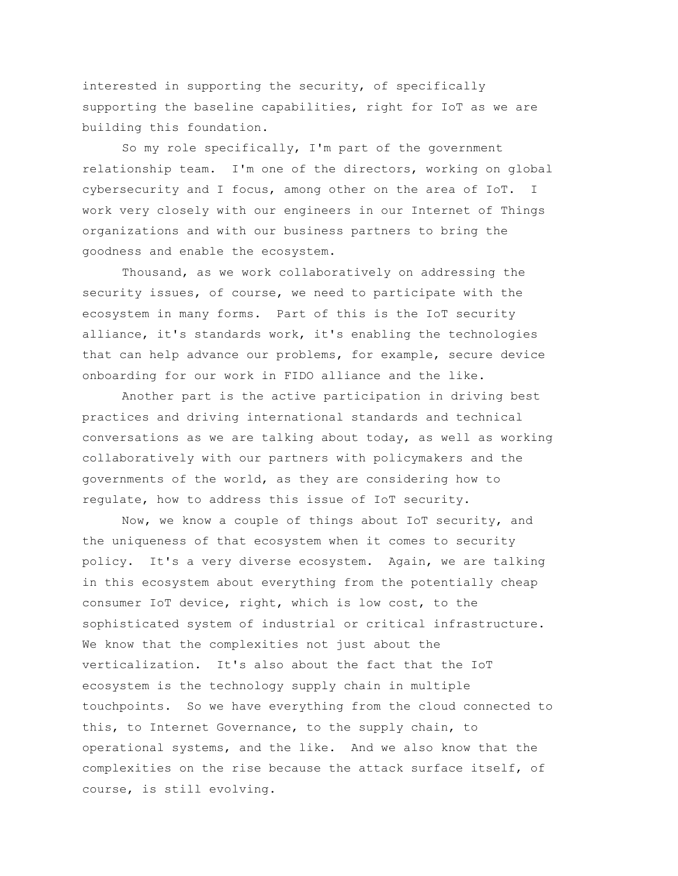interested in supporting the security, of specifically supporting the baseline capabilities, right for IoT as we are building this foundation.

So my role specifically, I'm part of the government relationship team. I'm one of the directors, working on global cybersecurity and I focus, among other on the area of IoT. I work very closely with our engineers in our Internet of Things organizations and with our business partners to bring the goodness and enable the ecosystem.

Thousand, as we work collaboratively on addressing the security issues, of course, we need to participate with the ecosystem in many forms. Part of this is the IoT security alliance, it's standards work, it's enabling the technologies that can help advance our problems, for example, secure device onboarding for our work in FIDO alliance and the like.

Another part is the active participation in driving best practices and driving international standards and technical conversations as we are talking about today, as well as working collaboratively with our partners with policymakers and the governments of the world, as they are considering how to regulate, how to address this issue of IoT security.

Now, we know a couple of things about IoT security, and the uniqueness of that ecosystem when it comes to security policy. It's a very diverse ecosystem. Again, we are talking in this ecosystem about everything from the potentially cheap consumer IoT device, right, which is low cost, to the sophisticated system of industrial or critical infrastructure. We know that the complexities not just about the verticalization. It's also about the fact that the IoT ecosystem is the technology supply chain in multiple touchpoints. So we have everything from the cloud connected to this, to Internet Governance, to the supply chain, to operational systems, and the like. And we also know that the complexities on the rise because the attack surface itself, of course, is still evolving.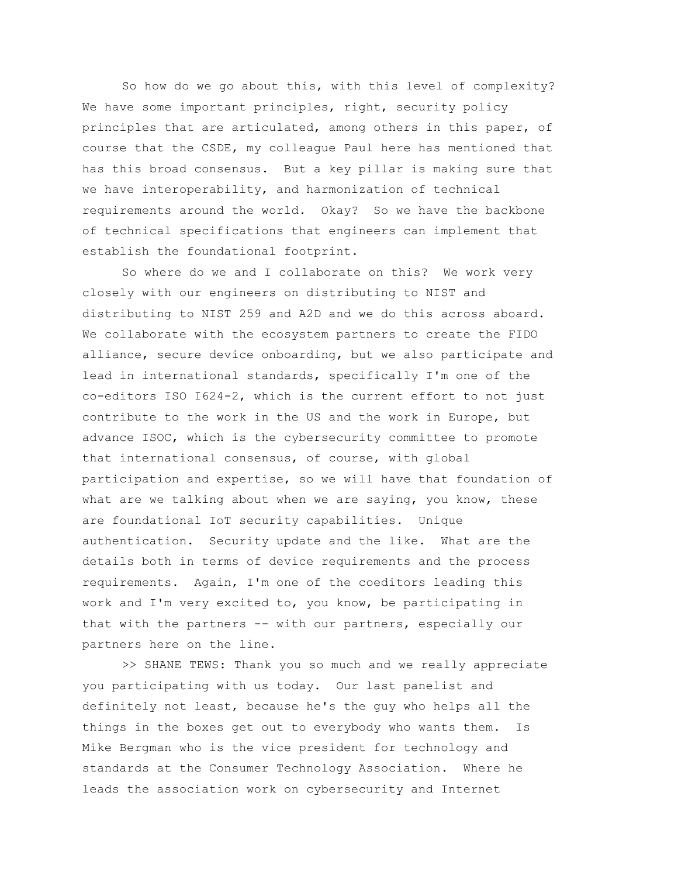So how do we go about this, with this level of complexity? We have some important principles, right, security policy principles that are articulated, among others in this paper, of course that the CSDE, my colleague Paul here has mentioned that has this broad consensus. But a key pillar is making sure that we have interoperability, and harmonization of technical requirements around the world. Okay? So we have the backbone of technical specifications that engineers can implement that establish the foundational footprint.

So where do we and I collaborate on this? We work very closely with our engineers on distributing to NIST and distributing to NIST 259 and A2D and we do this across aboard. We collaborate with the ecosystem partners to create the FIDO alliance, secure device onboarding, but we also participate and lead in international standards, specifically I'm one of the co-editors ISO I624-2, which is the current effort to not just contribute to the work in the US and the work in Europe, but advance ISOC, which is the cybersecurity committee to promote that international consensus, of course, with global participation and expertise, so we will have that foundation of what are we talking about when we are saying, you know, these are foundational IoT security capabilities. Unique authentication. Security update and the like. What are the details both in terms of device requirements and the process requirements. Again, I'm one of the coeditors leading this work and I'm very excited to, you know, be participating in that with the partners -- with our partners, especially our partners here on the line.

>> SHANE TEWS: Thank you so much and we really appreciate you participating with us today. Our last panelist and definitely not least, because he's the guy who helps all the things in the boxes get out to everybody who wants them. Is Mike Bergman who is the vice president for technology and standards at the Consumer Technology Association. Where he leads the association work on cybersecurity and Internet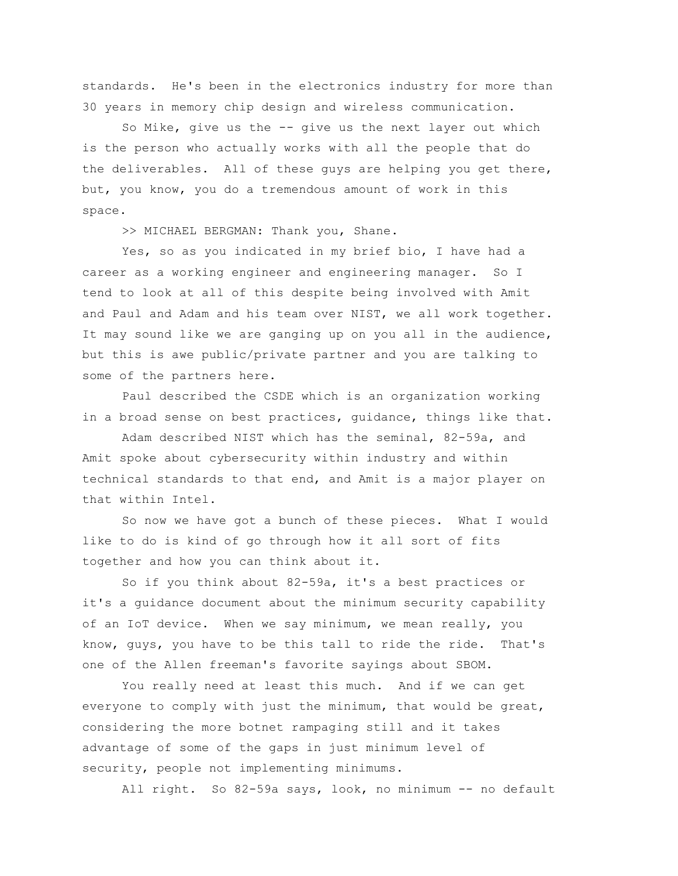standards. He's been in the electronics industry for more than 30 years in memory chip design and wireless communication.

So Mike, give us the -- give us the next layer out which is the person who actually works with all the people that do the deliverables. All of these guys are helping you get there, but, you know, you do a tremendous amount of work in this space.

>> MICHAEL BERGMAN: Thank you, Shane.

Yes, so as you indicated in my brief bio, I have had a career as a working engineer and engineering manager. So I tend to look at all of this despite being involved with Amit and Paul and Adam and his team over NIST, we all work together. It may sound like we are ganging up on you all in the audience, but this is awe public/private partner and you are talking to some of the partners here.

Paul described the CSDE which is an organization working in a broad sense on best practices, guidance, things like that.

Adam described NIST which has the seminal, 82-59a, and Amit spoke about cybersecurity within industry and within technical standards to that end, and Amit is a major player on that within Intel.

So now we have got a bunch of these pieces. What I would like to do is kind of go through how it all sort of fits together and how you can think about it.

So if you think about 82-59a, it's a best practices or it's a guidance document about the minimum security capability of an IoT device. When we say minimum, we mean really, you know, guys, you have to be this tall to ride the ride. That's one of the Allen freeman's favorite sayings about SBOM.

You really need at least this much. And if we can get everyone to comply with just the minimum, that would be great, considering the more botnet rampaging still and it takes advantage of some of the gaps in just minimum level of security, people not implementing minimums.

All right. So 82-59a says, look, no minimum -- no default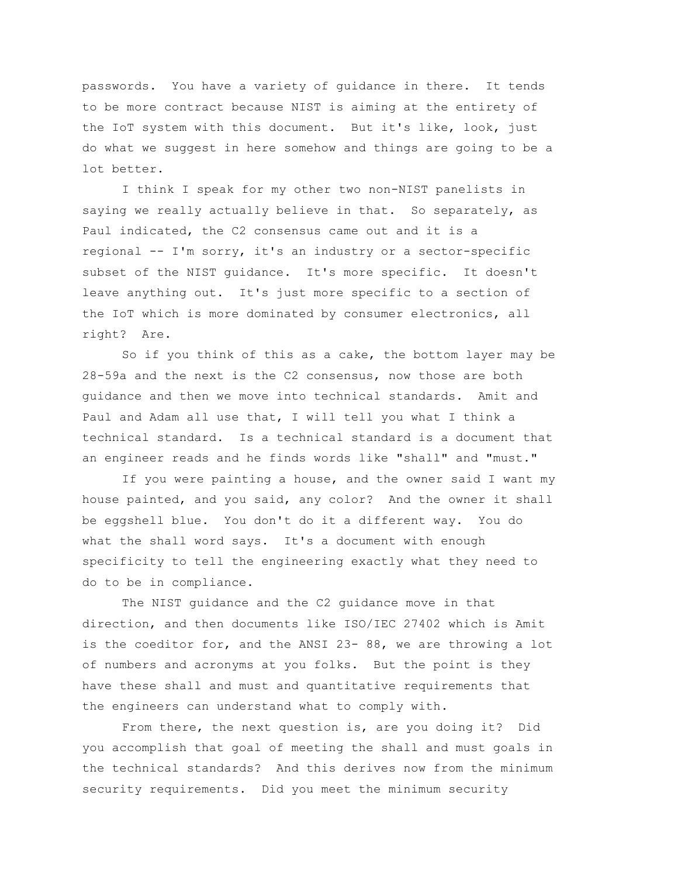passwords. You have a variety of guidance in there. It tends to be more contract because NIST is aiming at the entirety of the IoT system with this document. But it's like, look, just do what we suggest in here somehow and things are going to be a lot better.

I think I speak for my other two non-NIST panelists in saying we really actually believe in that. So separately, as Paul indicated, the C2 consensus came out and it is a regional -- I'm sorry, it's an industry or a sector-specific subset of the NIST guidance. It's more specific. It doesn't leave anything out. It's just more specific to a section of the IoT which is more dominated by consumer electronics, all right? Are.

So if you think of this as a cake, the bottom layer may be 28-59a and the next is the C2 consensus, now those are both guidance and then we move into technical standards. Amit and Paul and Adam all use that, I will tell you what I think a technical standard. Is a technical standard is a document that an engineer reads and he finds words like "shall" and "must."

If you were painting a house, and the owner said I want my house painted, and you said, any color? And the owner it shall be eggshell blue. You don't do it a different way. You do what the shall word says. It's a document with enough specificity to tell the engineering exactly what they need to do to be in compliance.

The NIST guidance and the C2 guidance move in that direction, and then documents like ISO/IEC 27402 which is Amit is the coeditor for, and the ANSI 23- 88, we are throwing a lot of numbers and acronyms at you folks. But the point is they have these shall and must and quantitative requirements that the engineers can understand what to comply with.

From there, the next question is, are you doing it? Did you accomplish that goal of meeting the shall and must goals in the technical standards? And this derives now from the minimum security requirements. Did you meet the minimum security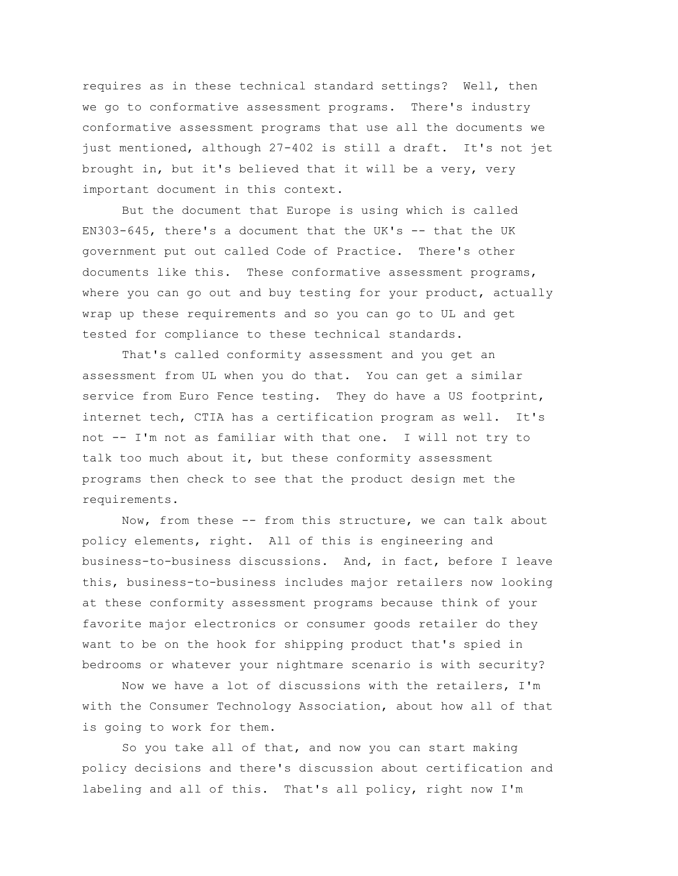requires as in these technical standard settings? Well, then we go to conformative assessment programs. There's industry conformative assessment programs that use all the documents we just mentioned, although 27-402 is still a draft. It's not jet brought in, but it's believed that it will be a very, very important document in this context.

But the document that Europe is using which is called  $EN303-645$ , there's a document that the UK's  $-$  that the UK government put out called Code of Practice. There's other documents like this. These conformative assessment programs, where you can go out and buy testing for your product, actually wrap up these requirements and so you can go to UL and get tested for compliance to these technical standards.

That's called conformity assessment and you get an assessment from UL when you do that. You can get a similar service from Euro Fence testing. They do have a US footprint, internet tech, CTIA has a certification program as well. It's not -- I'm not as familiar with that one. I will not try to talk too much about it, but these conformity assessment programs then check to see that the product design met the requirements.

Now, from these -- from this structure, we can talk about policy elements, right. All of this is engineering and business-to-business discussions. And, in fact, before I leave this, business-to-business includes major retailers now looking at these conformity assessment programs because think of your favorite major electronics or consumer goods retailer do they want to be on the hook for shipping product that's spied in bedrooms or whatever your nightmare scenario is with security?

Now we have a lot of discussions with the retailers, I'm with the Consumer Technology Association, about how all of that is going to work for them.

So you take all of that, and now you can start making policy decisions and there's discussion about certification and labeling and all of this. That's all policy, right now I'm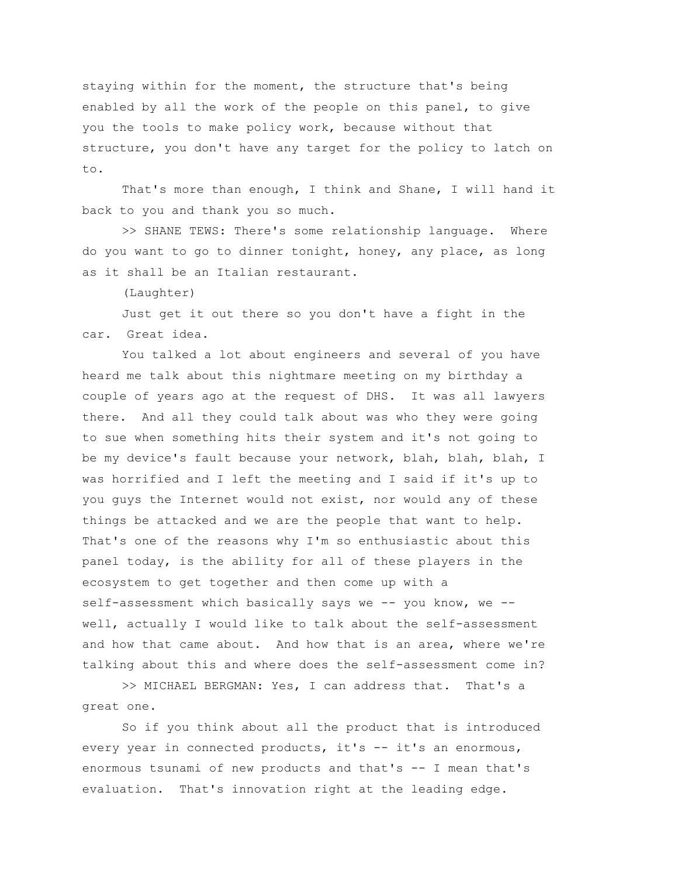staying within for the moment, the structure that's being enabled by all the work of the people on this panel, to give you the tools to make policy work, because without that structure, you don't have any target for the policy to latch on to.

That's more than enough, I think and Shane, I will hand it back to you and thank you so much.

>> SHANE TEWS: There's some relationship language. Where do you want to go to dinner tonight, honey, any place, as long as it shall be an Italian restaurant.

(Laughter)

Just get it out there so you don't have a fight in the car. Great idea.

You talked a lot about engineers and several of you have heard me talk about this nightmare meeting on my birthday a couple of years ago at the request of DHS. It was all lawyers there. And all they could talk about was who they were going to sue when something hits their system and it's not going to be my device's fault because your network, blah, blah, blah, I was horrified and I left the meeting and I said if it's up to you guys the Internet would not exist, nor would any of these things be attacked and we are the people that want to help. That's one of the reasons why I'm so enthusiastic about this panel today, is the ability for all of these players in the ecosystem to get together and then come up with a self-assessment which basically says we -- you know, we - well, actually I would like to talk about the self-assessment and how that came about. And how that is an area, where we're talking about this and where does the self-assessment come in?

>> MICHAEL BERGMAN: Yes, I can address that. That's a great one.

So if you think about all the product that is introduced every year in connected products, it's -- it's an enormous, enormous tsunami of new products and that's -- I mean that's evaluation. That's innovation right at the leading edge.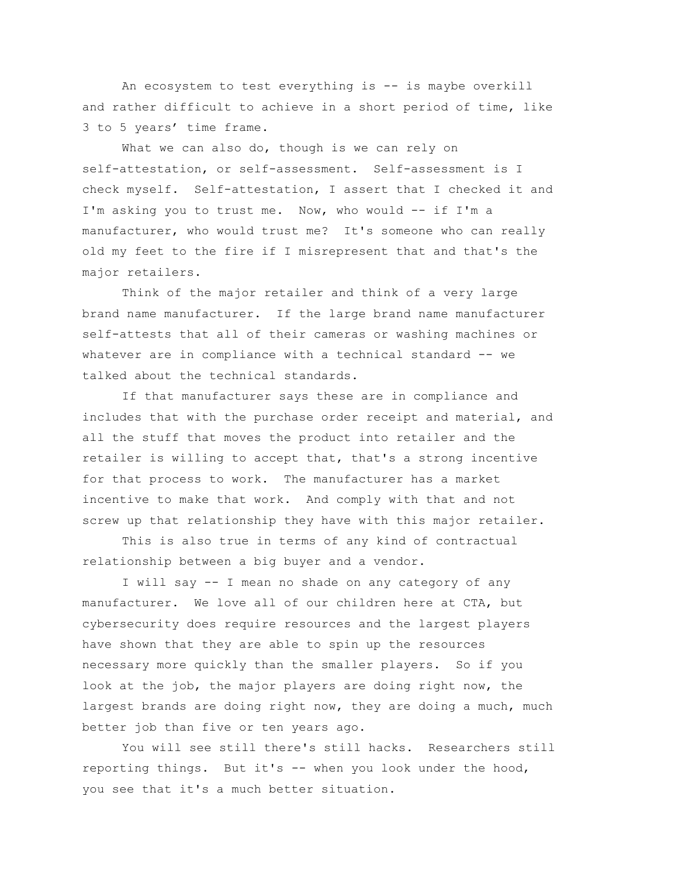An ecosystem to test everything is -- is maybe overkill and rather difficult to achieve in a short period of time, like 3 to 5 years' time frame.

What we can also do, though is we can rely on self-attestation, or self-assessment. Self-assessment is I check myself. Self-attestation, I assert that I checked it and I'm asking you to trust me. Now, who would -- if I'm a manufacturer, who would trust me? It's someone who can really old my feet to the fire if I misrepresent that and that's the major retailers.

Think of the major retailer and think of a very large brand name manufacturer. If the large brand name manufacturer self-attests that all of their cameras or washing machines or whatever are in compliance with a technical standard -- we talked about the technical standards.

If that manufacturer says these are in compliance and includes that with the purchase order receipt and material, and all the stuff that moves the product into retailer and the retailer is willing to accept that, that's a strong incentive for that process to work. The manufacturer has a market incentive to make that work. And comply with that and not screw up that relationship they have with this major retailer.

This is also true in terms of any kind of contractual relationship between a big buyer and a vendor.

I will say -- I mean no shade on any category of any manufacturer. We love all of our children here at CTA, but cybersecurity does require resources and the largest players have shown that they are able to spin up the resources necessary more quickly than the smaller players. So if you look at the job, the major players are doing right now, the largest brands are doing right now, they are doing a much, much better job than five or ten years ago.

You will see still there's still hacks. Researchers still reporting things. But it's -- when you look under the hood, you see that it's a much better situation.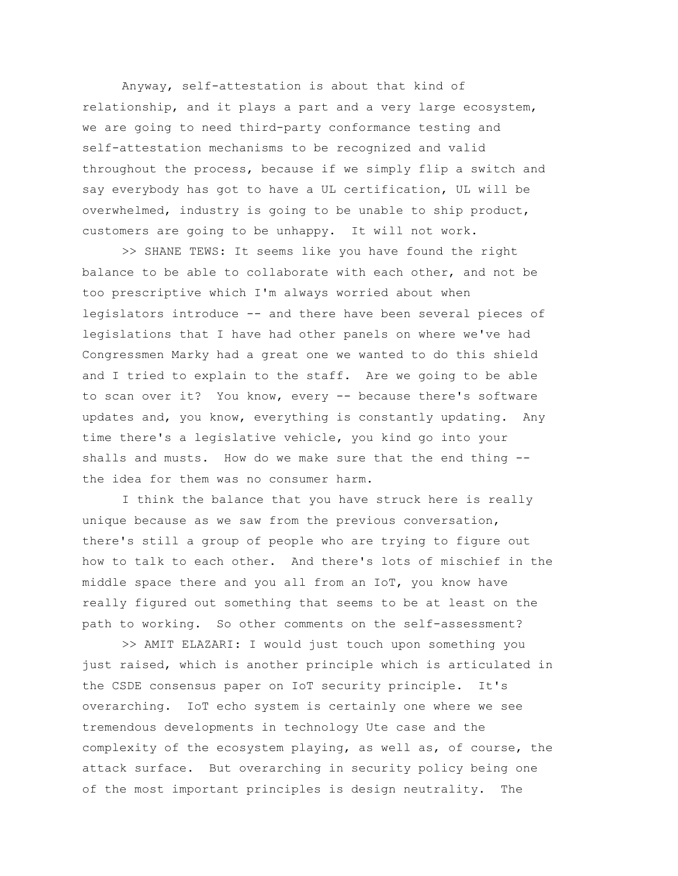Anyway, self-attestation is about that kind of relationship, and it plays a part and a very large ecosystem, we are going to need third-party conformance testing and self-attestation mechanisms to be recognized and valid throughout the process, because if we simply flip a switch and say everybody has got to have a UL certification, UL will be overwhelmed, industry is going to be unable to ship product, customers are going to be unhappy. It will not work.

>> SHANE TEWS: It seems like you have found the right balance to be able to collaborate with each other, and not be too prescriptive which I'm always worried about when legislators introduce -- and there have been several pieces of legislations that I have had other panels on where we've had Congressmen Marky had a great one we wanted to do this shield and I tried to explain to the staff. Are we going to be able to scan over it? You know, every -- because there's software updates and, you know, everything is constantly updating. Any time there's a legislative vehicle, you kind go into your shalls and musts. How do we make sure that the end thing - the idea for them was no consumer harm.

I think the balance that you have struck here is really unique because as we saw from the previous conversation, there's still a group of people who are trying to figure out how to talk to each other. And there's lots of mischief in the middle space there and you all from an IoT, you know have really figured out something that seems to be at least on the path to working. So other comments on the self-assessment?

>> AMIT ELAZARI: I would just touch upon something you just raised, which is another principle which is articulated in the CSDE consensus paper on IoT security principle. It's overarching. IoT echo system is certainly one where we see tremendous developments in technology Ute case and the complexity of the ecosystem playing, as well as, of course, the attack surface. But overarching in security policy being one of the most important principles is design neutrality. The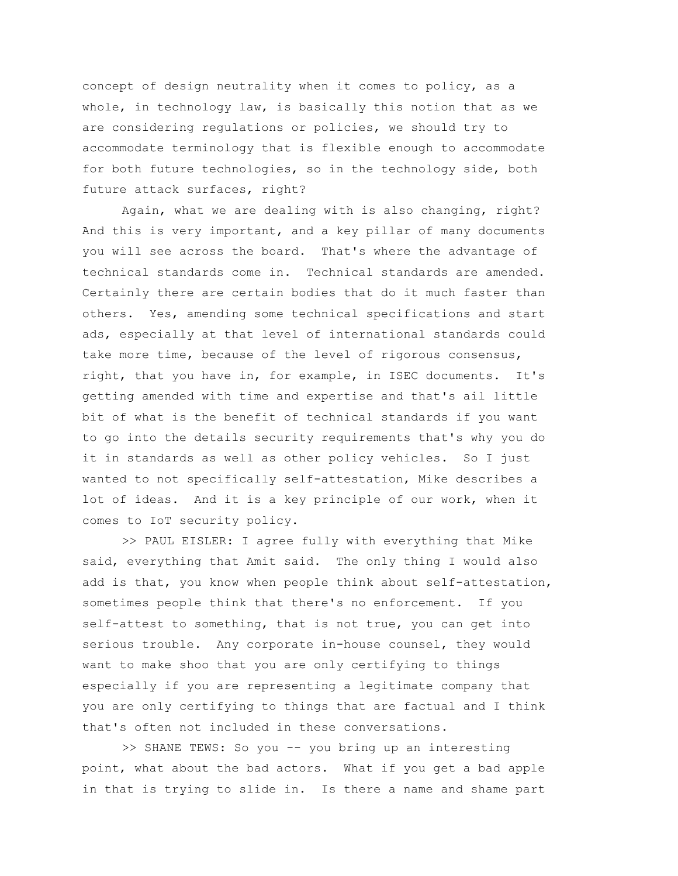concept of design neutrality when it comes to policy, as a whole, in technology law, is basically this notion that as we are considering regulations or policies, we should try to accommodate terminology that is flexible enough to accommodate for both future technologies, so in the technology side, both future attack surfaces, right?

Again, what we are dealing with is also changing, right? And this is very important, and a key pillar of many documents you will see across the board. That's where the advantage of technical standards come in. Technical standards are amended. Certainly there are certain bodies that do it much faster than others. Yes, amending some technical specifications and start ads, especially at that level of international standards could take more time, because of the level of rigorous consensus, right, that you have in, for example, in ISEC documents. It's getting amended with time and expertise and that's ail little bit of what is the benefit of technical standards if you want to go into the details security requirements that's why you do it in standards as well as other policy vehicles. So I just wanted to not specifically self-attestation, Mike describes a lot of ideas. And it is a key principle of our work, when it comes to IoT security policy.

>> PAUL EISLER: I agree fully with everything that Mike said, everything that Amit said. The only thing I would also add is that, you know when people think about self-attestation, sometimes people think that there's no enforcement. If you self-attest to something, that is not true, you can get into serious trouble. Any corporate in-house counsel, they would want to make shoo that you are only certifying to things especially if you are representing a legitimate company that you are only certifying to things that are factual and I think that's often not included in these conversations.

>> SHANE TEWS: So you -- you bring up an interesting point, what about the bad actors. What if you get a bad apple in that is trying to slide in. Is there a name and shame part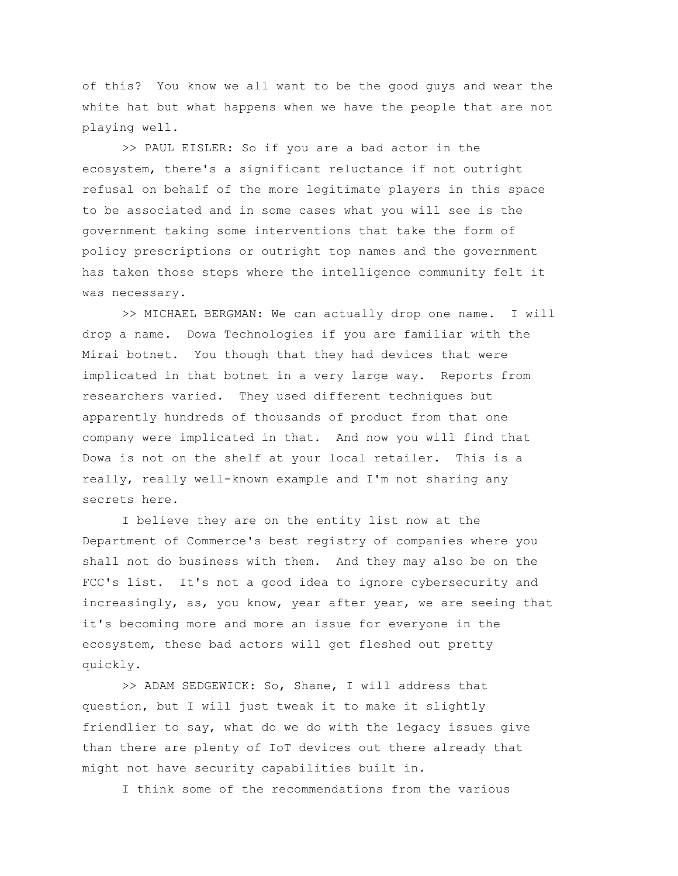of this? You know we all want to be the good guys and wear the white hat but what happens when we have the people that are not playing well.

>> PAUL EISLER: So if you are a bad actor in the ecosystem, there's a significant reluctance if not outright refusal on behalf of the more legitimate players in this space to be associated and in some cases what you will see is the government taking some interventions that take the form of policy prescriptions or outright top names and the government has taken those steps where the intelligence community felt it was necessary.

>> MICHAEL BERGMAN: We can actually drop one name. I will drop a name. Dowa Technologies if you are familiar with the Mirai botnet. You though that they had devices that were implicated in that botnet in a very large way. Reports from researchers varied. They used different techniques but apparently hundreds of thousands of product from that one company were implicated in that. And now you will find that Dowa is not on the shelf at your local retailer. This is a really, really well-known example and I'm not sharing any secrets here.

I believe they are on the entity list now at the Department of Commerce's best registry of companies where you shall not do business with them. And they may also be on the FCC's list. It's not a good idea to ignore cybersecurity and increasingly, as, you know, year after year, we are seeing that it's becoming more and more an issue for everyone in the ecosystem, these bad actors will get fleshed out pretty quickly.

>> ADAM SEDGEWICK: So, Shane, I will address that question, but I will just tweak it to make it slightly friendlier to say, what do we do with the legacy issues give than there are plenty of IoT devices out there already that might not have security capabilities built in.

I think some of the recommendations from the various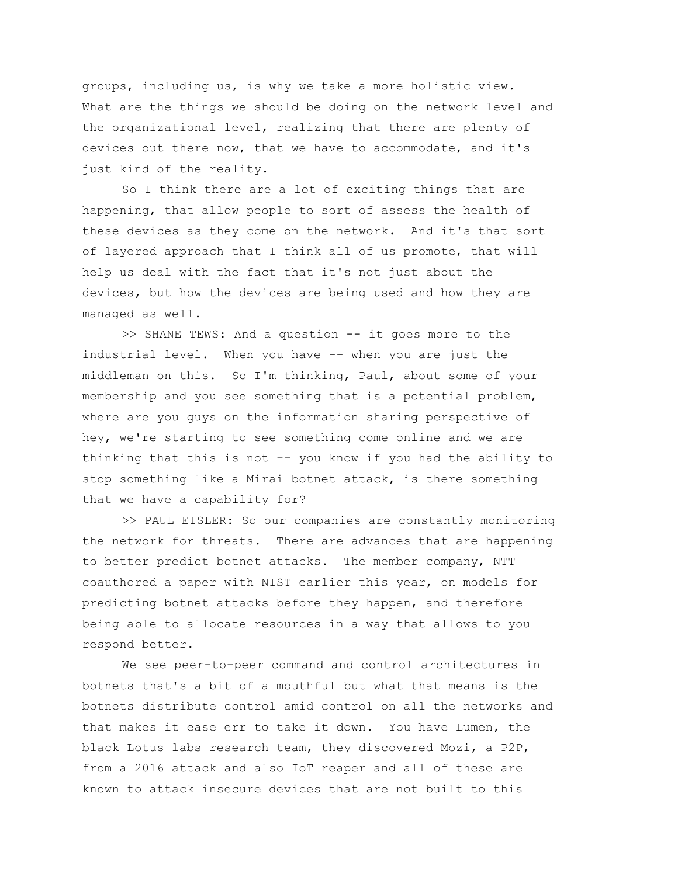groups, including us, is why we take a more holistic view. What are the things we should be doing on the network level and the organizational level, realizing that there are plenty of devices out there now, that we have to accommodate, and it's just kind of the reality.

So I think there are a lot of exciting things that are happening, that allow people to sort of assess the health of these devices as they come on the network. And it's that sort of layered approach that I think all of us promote, that will help us deal with the fact that it's not just about the devices, but how the devices are being used and how they are managed as well.

>> SHANE TEWS: And a question -- it goes more to the industrial level. When you have -- when you are just the middleman on this. So I'm thinking, Paul, about some of your membership and you see something that is a potential problem, where are you guys on the information sharing perspective of hey, we're starting to see something come online and we are thinking that this is not -- you know if you had the ability to stop something like a Mirai botnet attack, is there something that we have a capability for?

>> PAUL EISLER: So our companies are constantly monitoring the network for threats. There are advances that are happening to better predict botnet attacks. The member company, NTT coauthored a paper with NIST earlier this year, on models for predicting botnet attacks before they happen, and therefore being able to allocate resources in a way that allows to you respond better.

We see peer-to-peer command and control architectures in botnets that's a bit of a mouthful but what that means is the botnets distribute control amid control on all the networks and that makes it ease err to take it down. You have Lumen, the black Lotus labs research team, they discovered Mozi, a P2P, from a 2016 attack and also IoT reaper and all of these are known to attack insecure devices that are not built to this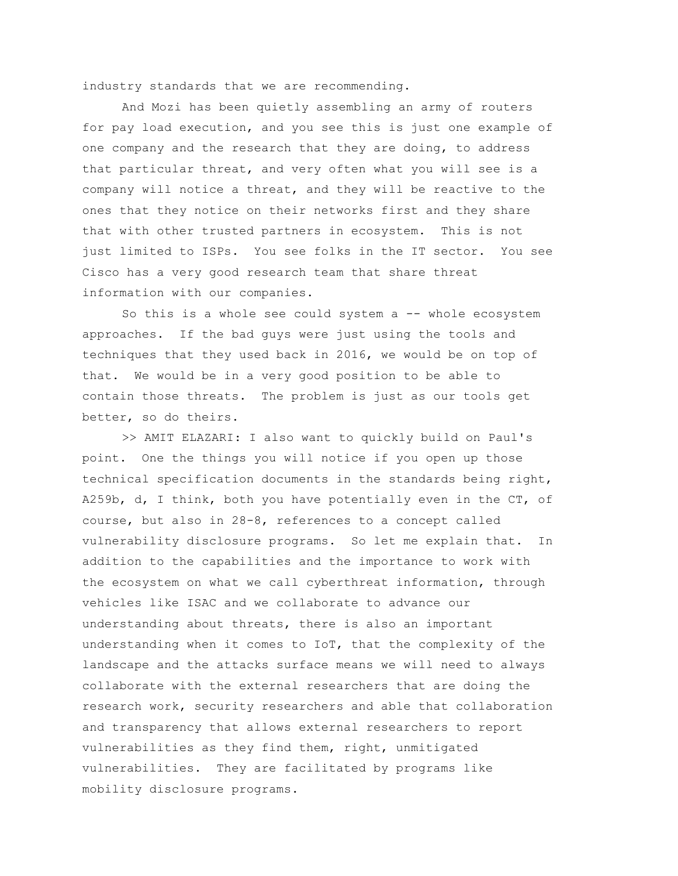industry standards that we are recommending.

And Mozi has been quietly assembling an army of routers for pay load execution, and you see this is just one example of one company and the research that they are doing, to address that particular threat, and very often what you will see is a company will notice a threat, and they will be reactive to the ones that they notice on their networks first and they share that with other trusted partners in ecosystem. This is not just limited to ISPs. You see folks in the IT sector. You see Cisco has a very good research team that share threat information with our companies.

So this is a whole see could system  $a$  -- whole ecosystem approaches. If the bad guys were just using the tools and techniques that they used back in 2016, we would be on top of that. We would be in a very good position to be able to contain those threats. The problem is just as our tools get better, so do theirs.

>> AMIT ELAZARI: I also want to quickly build on Paul's point. One the things you will notice if you open up those technical specification documents in the standards being right, A259b, d, I think, both you have potentially even in the CT, of course, but also in 28-8, references to a concept called vulnerability disclosure programs. So let me explain that. In addition to the capabilities and the importance to work with the ecosystem on what we call cyberthreat information, through vehicles like ISAC and we collaborate to advance our understanding about threats, there is also an important understanding when it comes to IoT, that the complexity of the landscape and the attacks surface means we will need to always collaborate with the external researchers that are doing the research work, security researchers and able that collaboration and transparency that allows external researchers to report vulnerabilities as they find them, right, unmitigated vulnerabilities. They are facilitated by programs like mobility disclosure programs.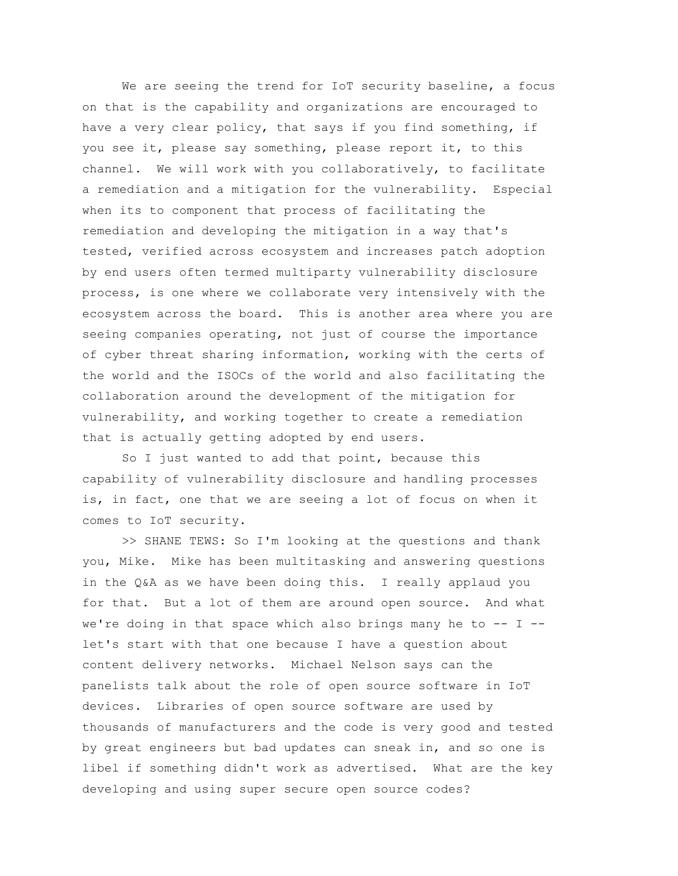We are seeing the trend for IoT security baseline, a focus on that is the capability and organizations are encouraged to have a very clear policy, that says if you find something, if you see it, please say something, please report it, to this channel. We will work with you collaboratively, to facilitate a remediation and a mitigation for the vulnerability. Especial when its to component that process of facilitating the remediation and developing the mitigation in a way that's tested, verified across ecosystem and increases patch adoption by end users often termed multiparty vulnerability disclosure process, is one where we collaborate very intensively with the ecosystem across the board. This is another area where you are seeing companies operating, not just of course the importance of cyber threat sharing information, working with the certs of the world and the ISOCs of the world and also facilitating the collaboration around the development of the mitigation for vulnerability, and working together to create a remediation that is actually getting adopted by end users.

So I just wanted to add that point, because this capability of vulnerability disclosure and handling processes is, in fact, one that we are seeing a lot of focus on when it comes to IoT security.

>> SHANE TEWS: So I'm looking at the questions and thank you, Mike. Mike has been multitasking and answering questions in the Q&A as we have been doing this. I really applaud you for that. But a lot of them are around open source. And what we're doing in that space which also brings many he to  $-$ - I  $$ let's start with that one because I have a question about content delivery networks. Michael Nelson says can the panelists talk about the role of open source software in IoT devices. Libraries of open source software are used by thousands of manufacturers and the code is very good and tested by great engineers but bad updates can sneak in, and so one is libel if something didn't work as advertised. What are the key developing and using super secure open source codes?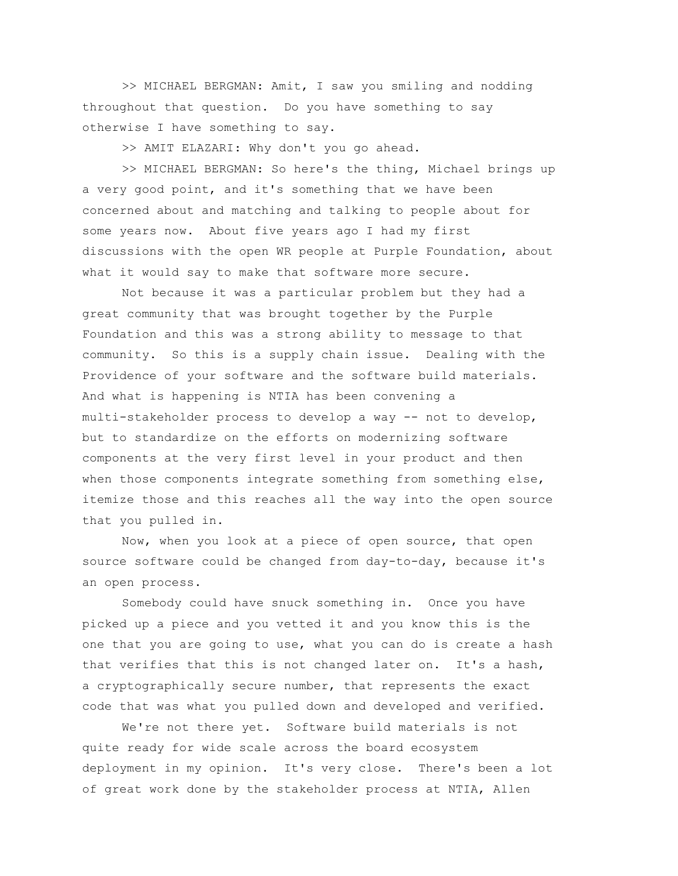>> MICHAEL BERGMAN: Amit, I saw you smiling and nodding throughout that question. Do you have something to say otherwise I have something to say.

>> AMIT ELAZARI: Why don't you go ahead.

>> MICHAEL BERGMAN: So here's the thing, Michael brings up a very good point, and it's something that we have been concerned about and matching and talking to people about for some years now. About five years ago I had my first discussions with the open WR people at Purple Foundation, about what it would say to make that software more secure.

Not because it was a particular problem but they had a great community that was brought together by the Purple Foundation and this was a strong ability to message to that community. So this is a supply chain issue. Dealing with the Providence of your software and the software build materials. And what is happening is NTIA has been convening a multi-stakeholder process to develop a way -- not to develop, but to standardize on the efforts on modernizing software components at the very first level in your product and then when those components integrate something from something else, itemize those and this reaches all the way into the open source that you pulled in.

Now, when you look at a piece of open source, that open source software could be changed from day-to-day, because it's an open process.

Somebody could have snuck something in. Once you have picked up a piece and you vetted it and you know this is the one that you are going to use, what you can do is create a hash that verifies that this is not changed later on. It's a hash, a cryptographically secure number, that represents the exact code that was what you pulled down and developed and verified.

We're not there yet. Software build materials is not quite ready for wide scale across the board ecosystem deployment in my opinion. It's very close. There's been a lot of great work done by the stakeholder process at NTIA, Allen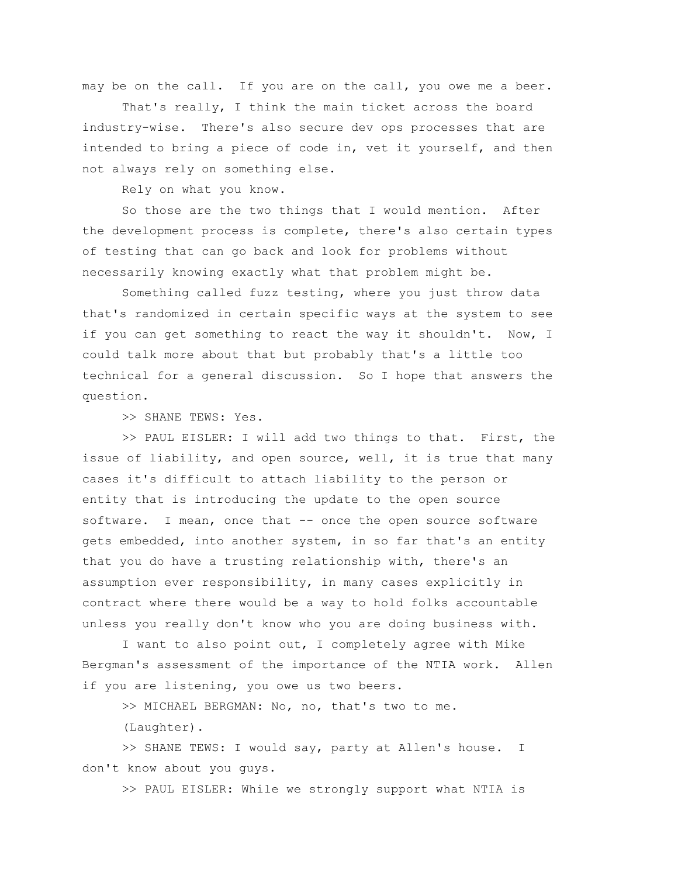may be on the call. If you are on the call, you owe me a beer.

That's really, I think the main ticket across the board industry-wise. There's also secure dev ops processes that are intended to bring a piece of code in, vet it yourself, and then not always rely on something else.

Rely on what you know.

So those are the two things that I would mention. After the development process is complete, there's also certain types of testing that can go back and look for problems without necessarily knowing exactly what that problem might be.

Something called fuzz testing, where you just throw data that's randomized in certain specific ways at the system to see if you can get something to react the way it shouldn't. Now, I could talk more about that but probably that's a little too technical for a general discussion. So I hope that answers the question.

>> SHANE TEWS: Yes.

>> PAUL EISLER: I will add two things to that. First, the issue of liability, and open source, well, it is true that many cases it's difficult to attach liability to the person or entity that is introducing the update to the open source software. I mean, once that -- once the open source software gets embedded, into another system, in so far that's an entity that you do have a trusting relationship with, there's an assumption ever responsibility, in many cases explicitly in contract where there would be a way to hold folks accountable unless you really don't know who you are doing business with.

I want to also point out, I completely agree with Mike Bergman's assessment of the importance of the NTIA work. Allen if you are listening, you owe us two beers.

>> MICHAEL BERGMAN: No, no, that's two to me.

(Laughter).

>> SHANE TEWS: I would say, party at Allen's house. I don't know about you guys.

>> PAUL EISLER: While we strongly support what NTIA is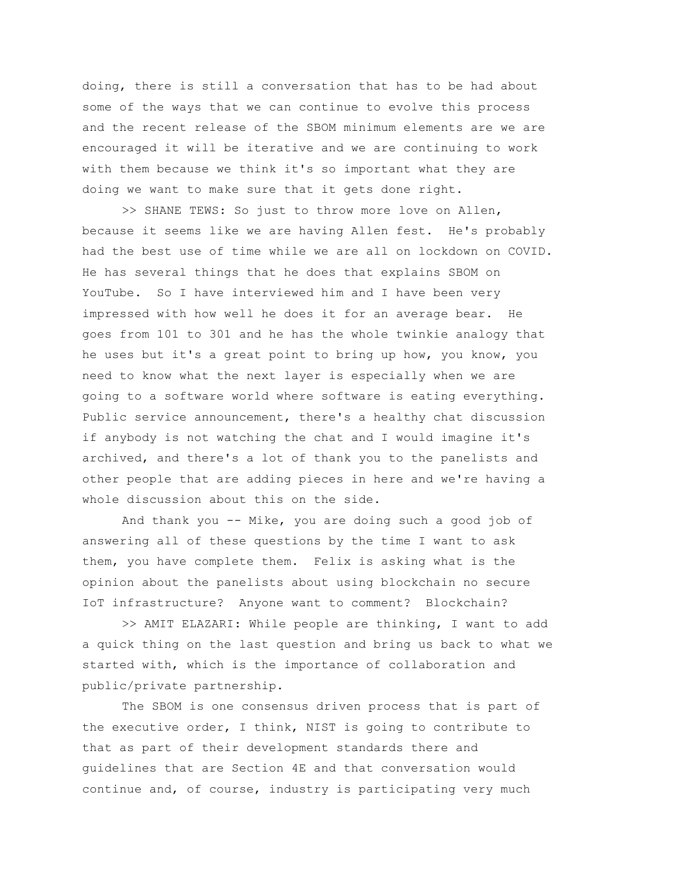doing, there is still a conversation that has to be had about some of the ways that we can continue to evolve this process and the recent release of the SBOM minimum elements are we are encouraged it will be iterative and we are continuing to work with them because we think it's so important what they are doing we want to make sure that it gets done right.

>> SHANE TEWS: So just to throw more love on Allen, because it seems like we are having Allen fest. He's probably had the best use of time while we are all on lockdown on COVID. He has several things that he does that explains SBOM on YouTube. So I have interviewed him and I have been very impressed with how well he does it for an average bear. He goes from 101 to 301 and he has the whole twinkie analogy that he uses but it's a great point to bring up how, you know, you need to know what the next layer is especially when we are going to a software world where software is eating everything. Public service announcement, there's a healthy chat discussion if anybody is not watching the chat and I would imagine it's archived, and there's a lot of thank you to the panelists and other people that are adding pieces in here and we're having a whole discussion about this on the side.

And thank you -- Mike, you are doing such a good job of answering all of these questions by the time I want to ask them, you have complete them. Felix is asking what is the opinion about the panelists about using blockchain no secure IoT infrastructure? Anyone want to comment? Blockchain?

>> AMIT ELAZARI: While people are thinking, I want to add a quick thing on the last question and bring us back to what we started with, which is the importance of collaboration and public/private partnership.

The SBOM is one consensus driven process that is part of the executive order, I think, NIST is going to contribute to that as part of their development standards there and guidelines that are Section 4E and that conversation would continue and, of course, industry is participating very much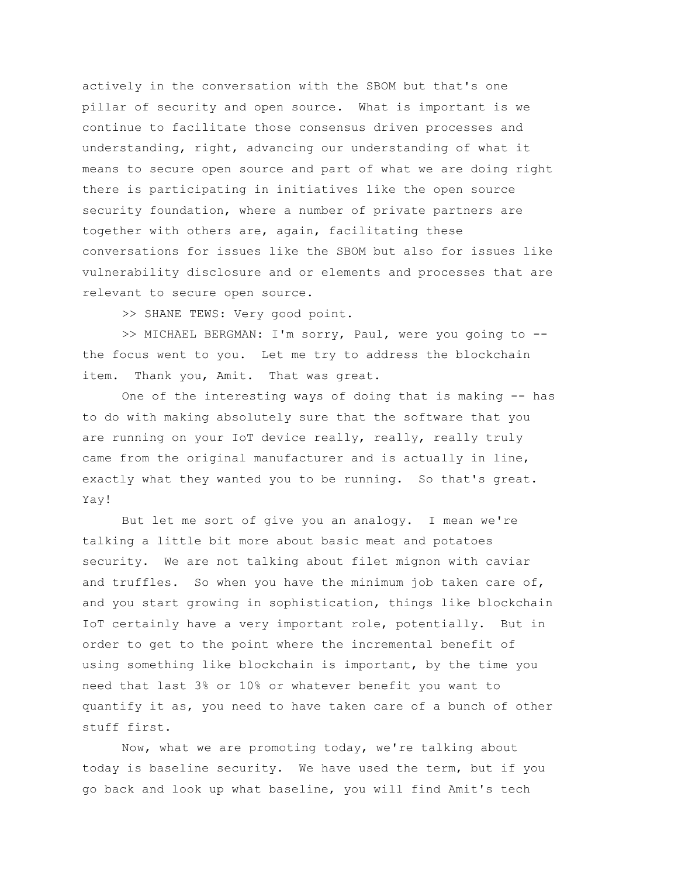actively in the conversation with the SBOM but that's one pillar of security and open source. What is important is we continue to facilitate those consensus driven processes and understanding, right, advancing our understanding of what it means to secure open source and part of what we are doing right there is participating in initiatives like the open source security foundation, where a number of private partners are together with others are, again, facilitating these conversations for issues like the SBOM but also for issues like vulnerability disclosure and or elements and processes that are relevant to secure open source.

>> SHANE TEWS: Very good point.

>> MICHAEL BERGMAN: I'm sorry, Paul, were you going to - the focus went to you. Let me try to address the blockchain item. Thank you, Amit. That was great.

One of the interesting ways of doing that is making -- has to do with making absolutely sure that the software that you are running on your IoT device really, really, really truly came from the original manufacturer and is actually in line, exactly what they wanted you to be running. So that's great. Yay!

But let me sort of give you an analogy. I mean we're talking a little bit more about basic meat and potatoes security. We are not talking about filet mignon with caviar and truffles. So when you have the minimum job taken care of, and you start growing in sophistication, things like blockchain IoT certainly have a very important role, potentially. But in order to get to the point where the incremental benefit of using something like blockchain is important, by the time you need that last 3% or 10% or whatever benefit you want to quantify it as, you need to have taken care of a bunch of other stuff first.

Now, what we are promoting today, we're talking about today is baseline security. We have used the term, but if you go back and look up what baseline, you will find Amit's tech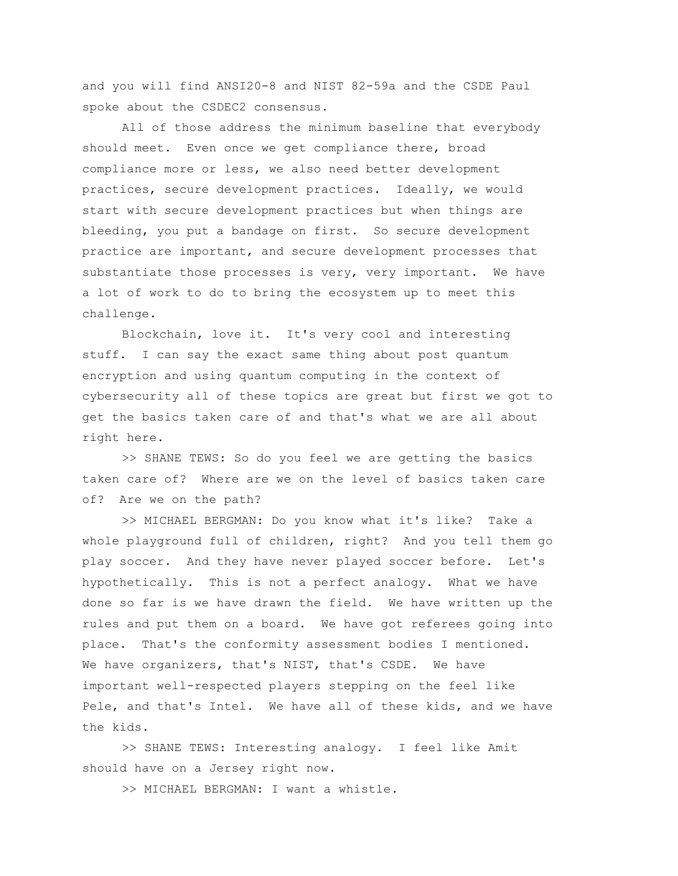and you will find ANSI20-8 and NIST 82-59a and the CSDE Paul spoke about the CSDEC2 consensus.

All of those address the minimum baseline that everybody should meet. Even once we get compliance there, broad compliance more or less, we also need better development practices, secure development practices. Ideally, we would start with secure development practices but when things are bleeding, you put a bandage on first. So secure development practice are important, and secure development processes that substantiate those processes is very, very important. We have a lot of work to do to bring the ecosystem up to meet this challenge.

Blockchain, love it. It's very cool and interesting stuff. I can say the exact same thing about post quantum encryption and using quantum computing in the context of cybersecurity all of these topics are great but first we got to get the basics taken care of and that's what we are all about right here.

>> SHANE TEWS: So do you feel we are getting the basics taken care of? Where are we on the level of basics taken care of? Are we on the path?

>> MICHAEL BERGMAN: Do you know what it's like? Take a whole playground full of children, right? And you tell them go play soccer. And they have never played soccer before. Let's hypothetically. This is not a perfect analogy. What we have done so far is we have drawn the field. We have written up the rules and put them on a board. We have got referees going into place. That's the conformity assessment bodies I mentioned. We have organizers, that's NIST, that's CSDE. We have important well-respected players stepping on the feel like Pele, and that's Intel. We have all of these kids, and we have the kids.

>> SHANE TEWS: Interesting analogy. I feel like Amit should have on a Jersey right now.

>> MICHAEL BERGMAN: I want a whistle.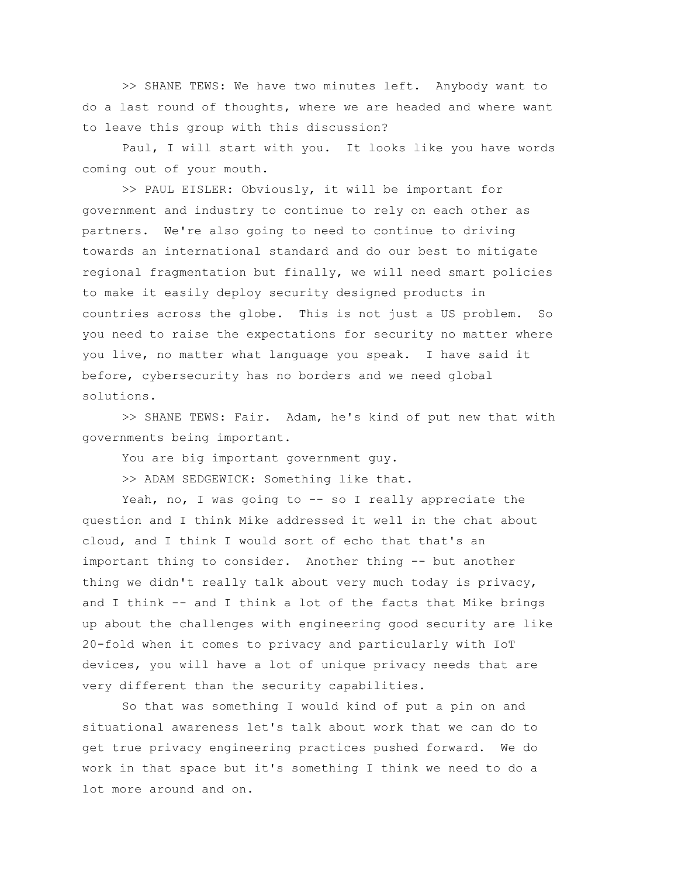>> SHANE TEWS: We have two minutes left. Anybody want to do a last round of thoughts, where we are headed and where want to leave this group with this discussion?

Paul, I will start with you. It looks like you have words coming out of your mouth.

>> PAUL EISLER: Obviously, it will be important for government and industry to continue to rely on each other as partners. We're also going to need to continue to driving towards an international standard and do our best to mitigate regional fragmentation but finally, we will need smart policies to make it easily deploy security designed products in countries across the globe. This is not just a US problem. So you need to raise the expectations for security no matter where you live, no matter what language you speak. I have said it before, cybersecurity has no borders and we need global solutions.

>> SHANE TEWS: Fair. Adam, he's kind of put new that with governments being important.

You are big important government guy.

>> ADAM SEDGEWICK: Something like that.

Yeah, no, I was going to -- so I really appreciate the question and I think Mike addressed it well in the chat about cloud, and I think I would sort of echo that that's an important thing to consider. Another thing -- but another thing we didn't really talk about very much today is privacy, and I think -- and I think a lot of the facts that Mike brings up about the challenges with engineering good security are like 20-fold when it comes to privacy and particularly with IoT devices, you will have a lot of unique privacy needs that are very different than the security capabilities.

So that was something I would kind of put a pin on and situational awareness let's talk about work that we can do to get true privacy engineering practices pushed forward. We do work in that space but it's something I think we need to do a lot more around and on.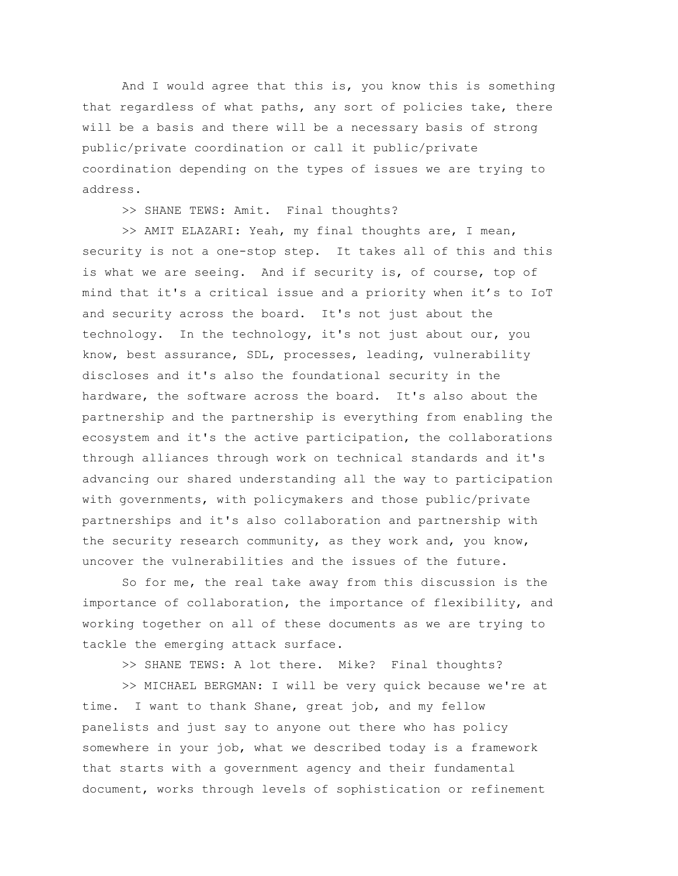And I would agree that this is, you know this is something that regardless of what paths, any sort of policies take, there will be a basis and there will be a necessary basis of strong public/private coordination or call it public/private coordination depending on the types of issues we are trying to address.

>> SHANE TEWS: Amit. Final thoughts?

>> AMIT ELAZARI: Yeah, my final thoughts are, I mean, security is not a one-stop step. It takes all of this and this is what we are seeing. And if security is, of course, top of mind that it's a critical issue and a priority when it's to IoT and security across the board. It's not just about the technology. In the technology, it's not just about our, you know, best assurance, SDL, processes, leading, vulnerability discloses and it's also the foundational security in the hardware, the software across the board. It's also about the partnership and the partnership is everything from enabling the ecosystem and it's the active participation, the collaborations through alliances through work on technical standards and it's advancing our shared understanding all the way to participation with governments, with policymakers and those public/private partnerships and it's also collaboration and partnership with the security research community, as they work and, you know, uncover the vulnerabilities and the issues of the future.

So for me, the real take away from this discussion is the importance of collaboration, the importance of flexibility, and working together on all of these documents as we are trying to tackle the emerging attack surface.

>> SHANE TEWS: A lot there. Mike? Final thoughts?

>> MICHAEL BERGMAN: I will be very quick because we're at time. I want to thank Shane, great job, and my fellow panelists and just say to anyone out there who has policy somewhere in your job, what we described today is a framework that starts with a government agency and their fundamental document, works through levels of sophistication or refinement